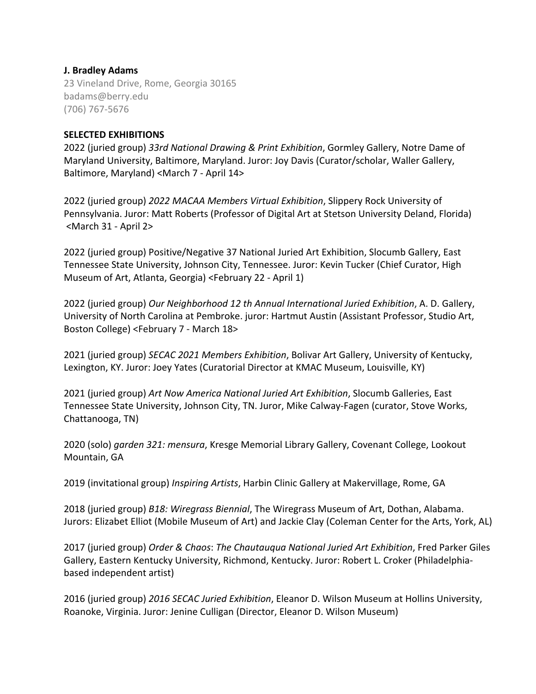# **J. Bradley Adams**

23 Vineland Drive, Rome, Georgia 30165 badams@berry.edu (706) 767-5676

## **SELECTED EXHIBITIONS**

2022 (juried group) *33rd National Drawing & Print Exhibition*, Gormley Gallery, Notre Dame of Maryland University, Baltimore, Maryland. Juror: Joy Davis (Curator/scholar, Waller Gallery, Baltimore, Maryland) <March 7 - April 14>

2022 (juried group) *2022 MACAA Members Virtual Exhibition*, Slippery Rock University of Pennsylvania. Juror: Matt Roberts (Professor of Digital Art at Stetson University Deland, Florida) <March 31 - April 2>

2022 (juried group) Positive/Negative 37 National Juried Art Exhibition, Slocumb Gallery, East Tennessee State University, Johnson City, Tennessee. Juror: Kevin Tucker (Chief Curator, High Museum of Art, Atlanta, Georgia) <February 22 - April 1)

2022 (juried group) *Our Neighborhood 12 th Annual International Juried Exhibition*, A. D. Gallery, University of North Carolina at Pembroke. juror: Hartmut Austin (Assistant Professor, Studio Art, Boston College) <February 7 - March 18>

2021 (juried group) *SECAC 2021 Members Exhibition*, Bolivar Art Gallery, University of Kentucky, Lexington, KY. Juror: Joey Yates (Curatorial Director at KMAC Museum, Louisville, KY)

2021 (juried group) *Art Now America National Juried Art Exhibition*, Slocumb Galleries, East Tennessee State University, Johnson City, TN. Juror, Mike Calway-Fagen (curator, Stove Works, Chattanooga, TN)

2020 (solo) *garden 321: mensura*, Kresge Memorial Library Gallery, Covenant College, Lookout Mountain, GA

2019 (invitational group) *Inspiring Artists*, Harbin Clinic Gallery at Makervillage, Rome, GA

2018 (juried group) *B18: Wiregrass Biennial*, The Wiregrass Museum of Art, Dothan, Alabama. Jurors: Elizabet Elliot (Mobile Museum of Art) and Jackie Clay (Coleman Center for the Arts, York, AL)

2017 (juried group) *Order & Chaos*: *The Chautauqua National Juried Art Exhibition*, Fred Parker Giles Gallery, Eastern Kentucky University, Richmond, Kentucky. Juror: Robert L. Croker (Philadelphiabased independent artist)

2016 (juried group) *2016 SECAC Juried Exhibition*, Eleanor D. Wilson Museum at Hollins University, Roanoke, Virginia. Juror: Jenine Culligan (Director, Eleanor D. Wilson Museum)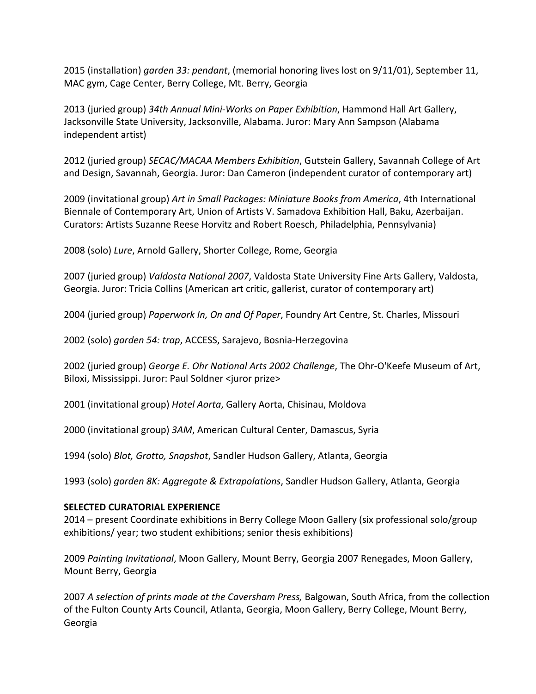2015 (installation) *garden 33: pendant*, (memorial honoring lives lost on 9/11/01), September 11, MAC gym, Cage Center, Berry College, Mt. Berry, Georgia

2013 (juried group) *34th Annual Mini-Works on Paper Exhibition*, Hammond Hall Art Gallery, Jacksonville State University, Jacksonville, Alabama. Juror: Mary Ann Sampson (Alabama independent artist)

2012 (juried group) *SECAC/MACAA Members Exhibition*, Gutstein Gallery, Savannah College of Art and Design, Savannah, Georgia. Juror: Dan Cameron (independent curator of contemporary art)

2009 (invitational group) *Art in Small Packages: Miniature Books from America*, 4th International Biennale of Contemporary Art, Union of Artists V. Samadova Exhibition Hall, Baku, Azerbaijan. Curators: Artists Suzanne Reese Horvitz and Robert Roesch, Philadelphia, Pennsylvania)

2008 (solo) *Lure*, Arnold Gallery, Shorter College, Rome, Georgia

2007 (juried group) *Valdosta National 2007*, Valdosta State University Fine Arts Gallery, Valdosta, Georgia. Juror: Tricia Collins (American art critic, gallerist, curator of contemporary art)

2004 (juried group) *Paperwork In, On and Of Paper*, Foundry Art Centre, St. Charles, Missouri

2002 (solo) *garden 54: trap*, ACCESS, Sarajevo, Bosnia-Herzegovina

2002 (juried group) *George E. Ohr National Arts 2002 Challenge*, The Ohr-O'Keefe Museum of Art, Biloxi, Mississippi. Juror: Paul Soldner <juror prize>

2001 (invitational group) *Hotel Aorta*, Gallery Aorta, Chisinau, Moldova

2000 (invitational group) *3AM*, American Cultural Center, Damascus, Syria

1994 (solo) *Blot, Grotto, Snapshot*, Sandler Hudson Gallery, Atlanta, Georgia

1993 (solo) *garden 8K: Aggregate & Extrapolations*, Sandler Hudson Gallery, Atlanta, Georgia

#### **SELECTED CURATORIAL EXPERIENCE**

2014 – present Coordinate exhibitions in Berry College Moon Gallery (six professional solo/group exhibitions/ year; two student exhibitions; senior thesis exhibitions)

2009 *Painting Invitational*, Moon Gallery, Mount Berry, Georgia 2007 Renegades, Moon Gallery, Mount Berry, Georgia

2007 *A selection of prints made at the Caversham Press,* Balgowan, South Africa, from the collection of the Fulton County Arts Council, Atlanta, Georgia, Moon Gallery, Berry College, Mount Berry, Georgia